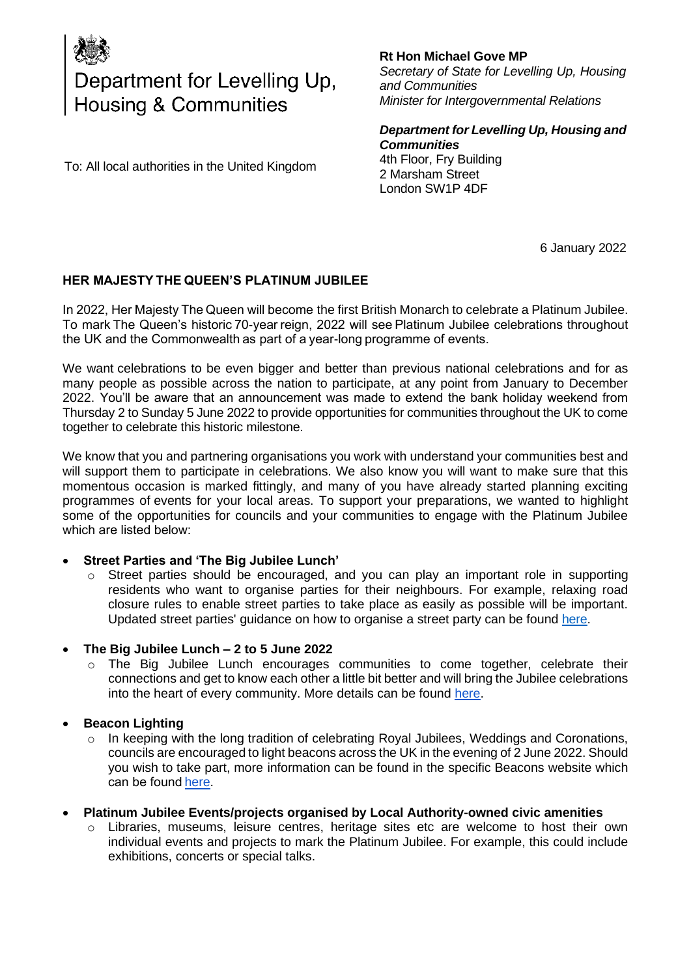

# Department for Levelling Up, Housing & Communities

To: All local authorities in the United Kingdom

#### **Rt Hon Michael Gove MP** *Secretary of State for Levelling Up, Housing and Communities Minister for Intergovernmental Relations*

#### *Department for Levelling Up, Housing and Communities*  4th Floor, Fry Building 2 Marsham Street London SW1P 4DF

6 January 2022

## **HER MAJESTY THE QUEEN'S PLATINUM JUBILEE**

In 2022, Her Majesty The Queen will become the first British Monarch to celebrate a Platinum Jubilee. To mark The Queen's historic 70-year reign, 2022 will see Platinum Jubilee celebrations throughout the UK and the Commonwealth as part of a year-long programme of events.

We want celebrations to be even bigger and better than previous national celebrations and for as many people as possible across the nation to participate, at any point from January to December 2022. You'll be aware that an announcement was made to extend the bank holiday weekend from Thursday 2 to Sunday 5 June 2022 to provide opportunities for communities throughout the UK to come together to celebrate this historic milestone.

We know that you and partnering organisations you work with understand your communities best and will support them to participate in celebrations. We also know you will want to make sure that this momentous occasion is marked fittingly, and many of you have already started planning exciting programmes of events for your local areas. To support your preparations, we wanted to highlight some of the opportunities for councils and your communities to engage with the Platinum Jubilee which are listed below: 

### • **Street Parties and 'The Big Jubilee Lunch'**

- o Street parties should be encouraged, and you can play an important role in supporting residents who want to organise parties for their neighbours. For example, relaxing road closure rules to enable street parties to take place as easily as possible will be important. Updated street parties' guidance on how to organise a street party can be found [here.](https://www.gov.uk/government/publications/your-guide-to-organising-a-street-party)
- **The Big Jubilee Lunch – 2 to 5 June 2022**
	- o The Big Jubilee Lunch encourages communities to come together, celebrate their connections and get to know each other a little bit better and will bring the Jubilee celebrations into the heart of every community. More details can be found [here.](https://www.edenprojectcommunities.com/blog/the-big-jubilee-lunch)

### • **Beacon Lighting**

- $\circ$  In keeping with the long tradition of celebrating Royal Jubilees, Weddings and Coronations, councils are encouraged to light beacons across the UK in the evening of 2 June 2022. Should you wish to take part, more information can be found in the specific Beacons website which can be foun[d here.](https://www.queensjubileebeacons.com/)
- **Platinum Jubilee Events/projects organised by Local Authority-owned civic amenities**
	- o Libraries, museums, leisure centres, heritage sites etc are welcome to host their own individual events and projects to mark the Platinum Jubilee. For example, this could include exhibitions, concerts or special talks.